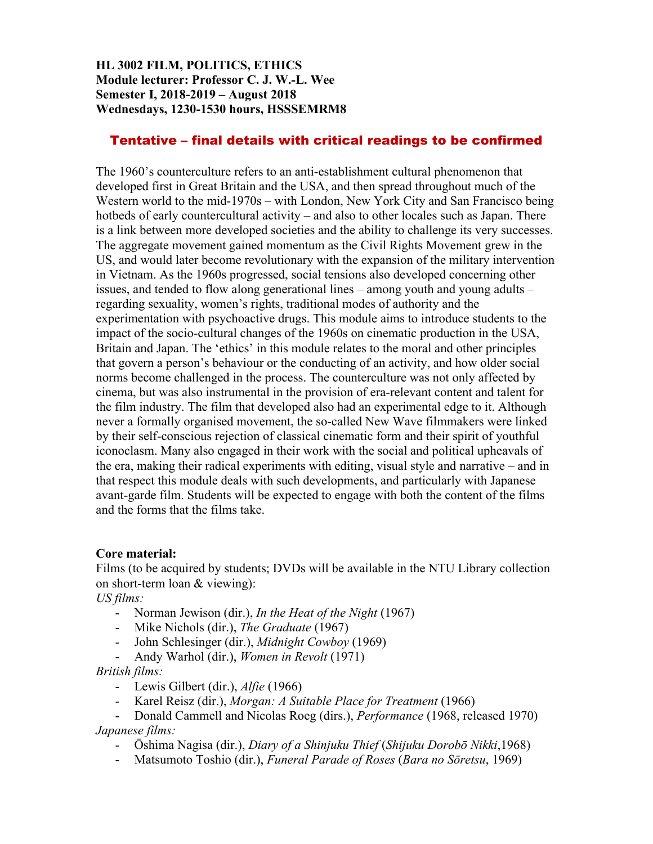## **HL 3002 FILM, POLITICS, ETHICS Module lecturer: Professor C. J. W.-L. Wee Semester I, 2018-2019 – August 2018 Wednesdays, 1230-1530 hours, HSSSEMRM8**

# Tentative – final details with critical readings to be confirmed

The 1960's counterculture refers to an anti-establishment cultural phenomenon that developed first in Great Britain and the USA, and then spread throughout much of the Western world to the mid-1970s – with London, New York City and San Francisco being hotbeds of early countercultural activity – and also to other locales such as Japan. There is a link between more developed societies and the ability to challenge its very successes. The aggregate movement gained momentum as the Civil Rights Movement grew in the US, and would later become revolutionary with the expansion of the military intervention in Vietnam. As the 1960s progressed, social tensions also developed concerning other issues, and tended to flow along generational lines – among youth and young adults – regarding sexuality, women's rights, traditional modes of authority and the experimentation with psychoactive drugs. This module aims to introduce students to the impact of the socio-cultural changes of the 1960s on cinematic production in the USA, Britain and Japan. The 'ethics' in this module relates to the moral and other principles that govern a person's behaviour or the conducting of an activity, and how older social norms become challenged in the process. The counterculture was not only affected by cinema, but was also instrumental in the provision of era-relevant content and talent for the film industry. The film that developed also had an experimental edge to it. Although never a formally organised movement, the so-called New Wave filmmakers were linked by their self-conscious rejection of classical cinematic form and their spirit of youthful iconoclasm. Many also engaged in their work with the social and political upheavals of the era, making their radical experiments with editing, visual style and narrative – and in that respect this module deals with such developments, and particularly with Japanese avant-garde film. Students will be expected to engage with both the content of the films and the forms that the films take.

### **Core material:**

Films (to be acquired by students; DVDs will be available in the NTU Library collection on short-term loan & viewing):

*US films:*

- Norman Jewison (dir.), *In the Heat of the Night* (1967)
- Mike Nichols (dir.), *The Graduate* (1967)
- John Schlesinger (dir.), *Midnight Cowboy* (1969)
- Andy Warhol (dir.), *Women in Revolt* (1971)

*British films:*

- Lewis Gilbert (dir.), *Alfie* (1966)
- Karel Reisz (dir.), *Morgan: A Suitable Place for Treatment* (1966)
- Donald Cammell and Nicolas Roeg (dirs.), *Performance* (1968, released 1970) *Japanese films:*
	- Ōshima Nagisa (dir.), *Diary of a Shinjuku Thief* (*Shijuku Dorobō Nikki*,1968)
	- Matsumoto Toshio (dir.), *Funeral Parade of Roses* (*Bara no Sōretsu*, 1969)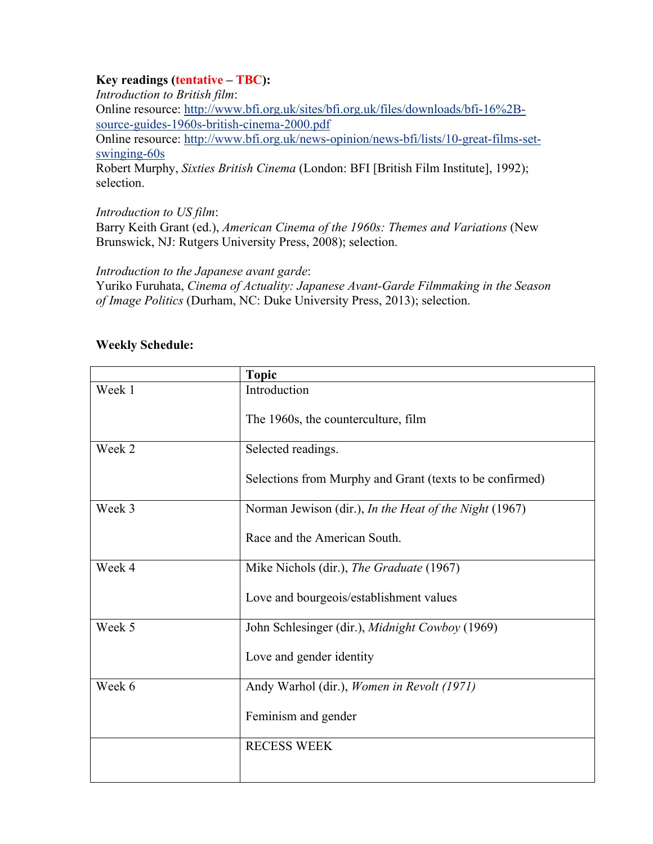## **Key readings (tentative – TBC):**

*Introduction to British film*: Online resource: [http://www.bfi.org.uk/sites/bfi.org.uk/files/downloads/bfi-16%2B](http://www.bfi.org.uk/sites/bfi.org.uk/files/downloads/bfi-16%2B-source-guides-1960s-british-cinema-2000.pdf)[source-guides-1960s-british-cinema-2000.pdf](http://www.bfi.org.uk/sites/bfi.org.uk/files/downloads/bfi-16%2B-source-guides-1960s-british-cinema-2000.pdf) Online resource: [http://www.bfi.org.uk/news-opinion/news-bfi/lists/10-great-films-set](http://www.bfi.org.uk/news-opinion/news-bfi/lists/10-great-films-set-swinging-60s)[swinging-60s](http://www.bfi.org.uk/news-opinion/news-bfi/lists/10-great-films-set-swinging-60s) Robert Murphy, *Sixties British Cinema* (London: BFI [British Film Institute], 1992); selection.

### *Introduction to US film*:

Barry Keith Grant (ed.), *American Cinema of the 1960s: Themes and Variations* (New Brunswick, NJ: Rutgers University Press, 2008); selection.

*Introduction to the Japanese avant garde*[:](https://www.amazon.com/Cinema-Actuality-Avant-Garde-Filmmaking-Asia-Pacific/dp/0822355043/ref=sr_1_1?s=books&ie=UTF8&qid=1526873541&sr=1-1&dpID=51MLdfMGU3L&preST=_SY291_BO1,204,203,200_QL40_&dpSrc=srch)

Yuriko Furuhata, *[Cinema of Actuality: Japanese Avant-Garde Filmmaking in the Season](https://www.amazon.com/Cinema-Actuality-Avant-Garde-Filmmaking-Asia-Pacific/dp/0822355043/ref=sr_1_1?s=books&ie=UTF8&qid=1526873541&sr=1-1&dpID=51MLdfMGU3L&preST=_SY291_BO1,204,203,200_QL40_&dpSrc=srch)  of Image Politics* [\(Durham, NC: Duke University Press, 2013\); selection.](https://www.amazon.com/Cinema-Actuality-Avant-Garde-Filmmaking-Asia-Pacific/dp/0822355043/ref=sr_1_1?s=books&ie=UTF8&qid=1526873541&sr=1-1&dpID=51MLdfMGU3L&preST=_SY291_BO1,204,203,200_QL40_&dpSrc=srch)

| <b>Weekly Schedule:</b> |  |
|-------------------------|--|
|-------------------------|--|

|        | <b>Topic</b>                                             |  |
|--------|----------------------------------------------------------|--|
| Week 1 | Introduction                                             |  |
|        | The 1960s, the counterculture, film                      |  |
| Week 2 | Selected readings.                                       |  |
|        | Selections from Murphy and Grant (texts to be confirmed) |  |
| Week 3 | Norman Jewison (dir.), In the Heat of the Night (1967)   |  |
|        | Race and the American South.                             |  |
| Week 4 | Mike Nichols (dir.), The Graduate (1967)                 |  |
|        | Love and bourgeois/establishment values                  |  |
| Week 5 | John Schlesinger (dir.), Midnight Cowboy (1969)          |  |
|        | Love and gender identity                                 |  |
| Week 6 | Andy Warhol (dir.), Women in Revolt (1971)               |  |
|        | Feminism and gender                                      |  |
|        | <b>RECESS WEEK</b>                                       |  |
|        |                                                          |  |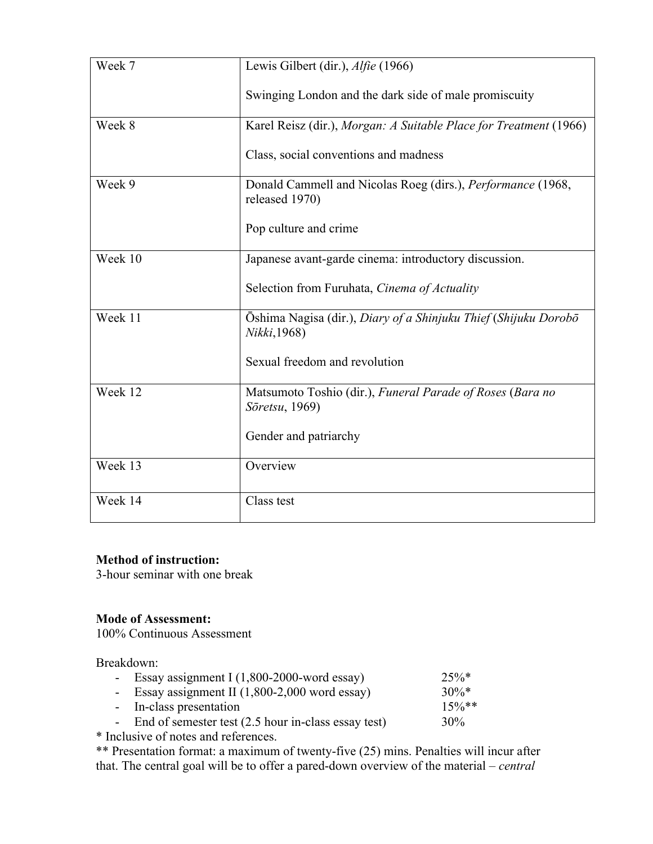| Week 7  | Lewis Gilbert (dir.), Alfie (1966)                                              |
|---------|---------------------------------------------------------------------------------|
|         | Swinging London and the dark side of male promiscuity                           |
| Week 8  | Karel Reisz (dir.), Morgan: A Suitable Place for Treatment (1966)               |
|         | Class, social conventions and madness                                           |
| Week 9  | Donald Cammell and Nicolas Roeg (dirs.), Performance (1968,<br>released 1970)   |
|         | Pop culture and crime                                                           |
| Week 10 | Japanese avant-garde cinema: introductory discussion.                           |
|         | Selection from Furuhata, Cinema of Actuality                                    |
| Week 11 | Ōshima Nagisa (dir.), Diary of a Shinjuku Thief (Shijuku Dorobō<br>Nikki, 1968) |
|         | Sexual freedom and revolution                                                   |
| Week 12 | Matsumoto Toshio (dir.), Funeral Parade of Roses (Bara no<br>Söretsu, 1969)     |
|         | Gender and patriarchy                                                           |
| Week 13 | Overview                                                                        |
| Week 14 | Class test                                                                      |

# **Method of instruction:**

3-hour seminar with one break

## **Mode of Assessment:**

100% Continuous Assessment

Breakdown:

| - Essay assignment I $(1,800-2000$ -word essay)          | $25\%*$  |
|----------------------------------------------------------|----------|
| - Essay assignment II $(1,800-2,000 \text{ word essay})$ | $30\%*$  |
| - In-class presentation                                  | $15\%**$ |
| - End of semester test (2.5 hour in-class essay test)    | 30%      |
|                                                          |          |

\* Inclusive of notes and references.

\*\* Presentation format: a maximum of twenty-five (25) mins. Penalties will incur after that. The central goal will be to offer a pared-down overview of the material – *central*